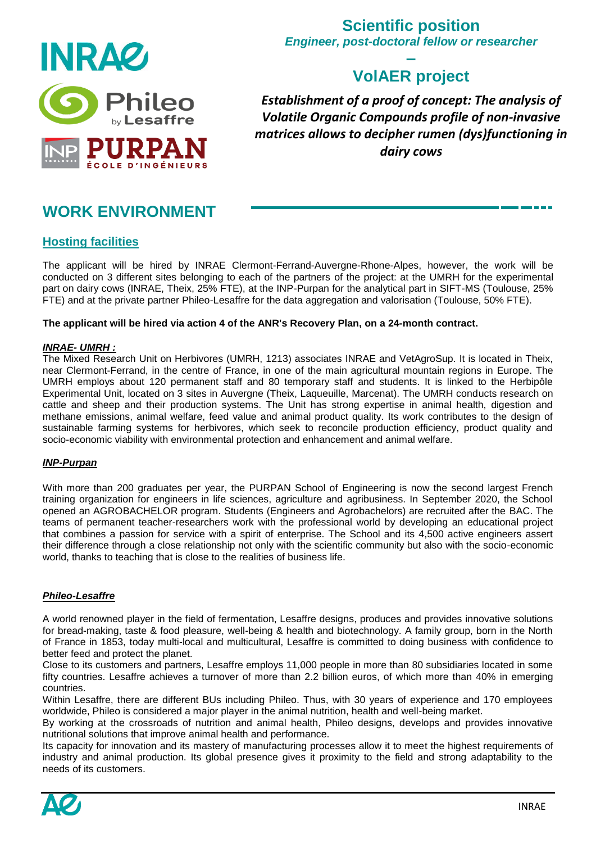

## **Scientific position** *Engineer, post-doctoral fellow or researcher*

## **– VolAER project**

*Establishment of a proof of concept: The analysis of Volatile Organic Compounds profile of non-invasive matrices allows to decipher rumen (dys)functioning in dairy cows*

# **WORK ENVIRONMENT**

## **Hosting facilities**

The applicant will be hired by INRAE Clermont-Ferrand-Auvergne-Rhone-Alpes, however, the work will be conducted on 3 different sites belonging to each of the partners of the project: at the UMRH for the experimental part on dairy cows (INRAE, Theix, 25% FTE), at the INP-Purpan for the analytical part in SIFT-MS (Toulouse, 25% FTE) and at the private partner Phileo-Lesaffre for the data aggregation and valorisation (Toulouse, 50% FTE).

#### **The applicant will be hired via action 4 of the ANR's Recovery Plan, on a 24-month contract.**

#### *INRAE- UMRH :*

The Mixed Research Unit on Herbivores (UMRH, 1213) associates INRAE and VetAgroSup. It is located in Theix, near Clermont-Ferrand, in the centre of France, in one of the main agricultural mountain regions in Europe. The UMRH employs about 120 permanent staff and 80 temporary staff and students. It is linked to the Herbipôle Experimental Unit, located on 3 sites in Auvergne (Theix, Laqueuille, Marcenat). The UMRH conducts research on cattle and sheep and their production systems. The Unit has strong expertise in animal health, digestion and methane emissions, animal welfare, feed value and animal product quality. Its work contributes to the design of sustainable farming systems for herbivores, which seek to reconcile production efficiency, product quality and socio-economic viability with environmental protection and enhancement and animal welfare.

#### *INP-Purpan*

With more than 200 graduates per year, the PURPAN School of Engineering is now the second largest French training organization for engineers in life sciences, agriculture and agribusiness. In September 2020, the School opened an AGROBACHELOR program. Students (Engineers and Agrobachelors) are recruited after the BAC. The teams of permanent teacher-researchers work with the professional world by developing an educational project that combines a passion for service with a spirit of enterprise. The School and its 4,500 active engineers assert their difference through a close relationship not only with the scientific community but also with the socio-economic world, thanks to teaching that is close to the realities of business life.

#### *Phileo-Lesaffre*

A world renowned player in the field of fermentation, Lesaffre designs, produces and provides innovative solutions for bread-making, taste & food pleasure, well-being & health and biotechnology. A family group, born in the North of France in 1853, today multi-local and multicultural, Lesaffre is committed to doing business with confidence to better feed and protect the planet.

Close to its customers and partners, Lesaffre employs 11,000 people in more than 80 subsidiaries located in some fifty countries. Lesaffre achieves a turnover of more than 2.2 billion euros, of which more than 40% in emerging countries.

Within Lesaffre, there are different BUs including Phileo. Thus, with 30 years of experience and 170 employees worldwide, Phileo is considered a major player in the animal nutrition, health and well-being market.

By working at the crossroads of nutrition and animal health, Phileo designs, develops and provides innovative nutritional solutions that improve animal health and performance.

Its capacity for innovation and its mastery of manufacturing processes allow it to meet the highest requirements of industry and animal production. Its global presence gives it proximity to the field and strong adaptability to the needs of its customers.

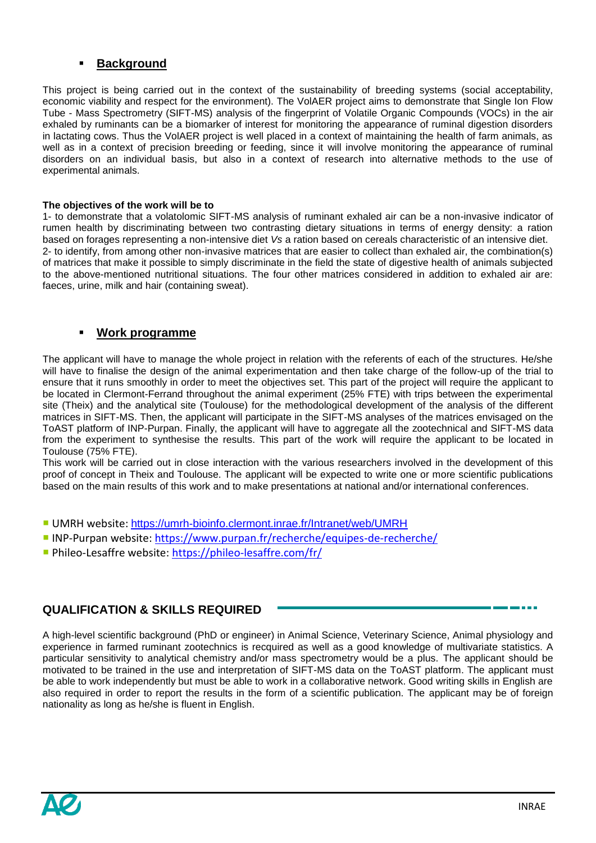#### **Background**

This project is being carried out in the context of the sustainability of breeding systems (social acceptability, economic viability and respect for the environment). The VolAER project aims to demonstrate that Single Ion Flow Tube - Mass Spectrometry (SIFT-MS) analysis of the fingerprint of Volatile Organic Compounds (VOCs) in the air exhaled by ruminants can be a biomarker of interest for monitoring the appearance of ruminal digestion disorders in lactating cows. Thus the VolAER project is well placed in a context of maintaining the health of farm animals, as well as in a context of precision breeding or feeding, since it will involve monitoring the appearance of ruminal disorders on an individual basis, but also in a context of research into alternative methods to the use of experimental animals.

#### **The objectives of the work will be to**

1- to demonstrate that a volatolomic SIFT-MS analysis of ruminant exhaled air can be a non-invasive indicator of rumen health by discriminating between two contrasting dietary situations in terms of energy density: a ration based on forages representing a non-intensive diet *Vs* a ration based on cereals characteristic of an intensive diet. 2- to identify, from among other non-invasive matrices that are easier to collect than exhaled air, the combination(s) of matrices that make it possible to simply discriminate in the field the state of digestive health of animals subjected to the above-mentioned nutritional situations. The four other matrices considered in addition to exhaled air are: faeces, urine, milk and hair (containing sweat).

#### **Work programme**

The applicant will have to manage the whole project in relation with the referents of each of the structures. He/she will have to finalise the design of the animal experimentation and then take charge of the follow-up of the trial to ensure that it runs smoothly in order to meet the objectives set. This part of the project will require the applicant to be located in Clermont-Ferrand throughout the animal experiment (25% FTE) with trips between the experimental site (Theix) and the analytical site (Toulouse) for the methodological development of the analysis of the different matrices in SIFT-MS. Then, the applicant will participate in the SIFT-MS analyses of the matrices envisaged on the ToAST platform of INP-Purpan. Finally, the applicant will have to aggregate all the zootechnical and SIFT-MS data from the experiment to synthesise the results. This part of the work will require the applicant to be located in Toulouse (75% FTE).

This work will be carried out in close interaction with the various researchers involved in the development of this proof of concept in Theix and Toulouse. The applicant will be expected to write one or more scientific publications based on the main results of this work and to make presentations at national and/or international conferences.

- UMRH website: <https://umrh-bioinfo.clermont.inrae.fr/Intranet/web/UMRH>
- INP-Purpan website: <https://www.purpan.fr/recherche/equipes-de-recherche/>
- Phileo-Lesaffre website: <https://phileo-lesaffre.com/fr/>

### **QUALIFICATION & SKILLS REQUIRED**

A high-level scientific background (PhD or engineer) in Animal Science, Veterinary Science, Animal physiology and experience in farmed ruminant zootechnics is recquired as well as a good knowledge of multivariate statistics. A particular sensitivity to analytical chemistry and/or mass spectrometry would be a plus. The applicant should be motivated to be trained in the use and interpretation of SIFT-MS data on the ToAST platform. The applicant must be able to work independently but must be able to work in a collaborative network. Good writing skills in English are also required in order to report the results in the form of a scientific publication. The applicant may be of foreign nationality as long as he/she is fluent in English.